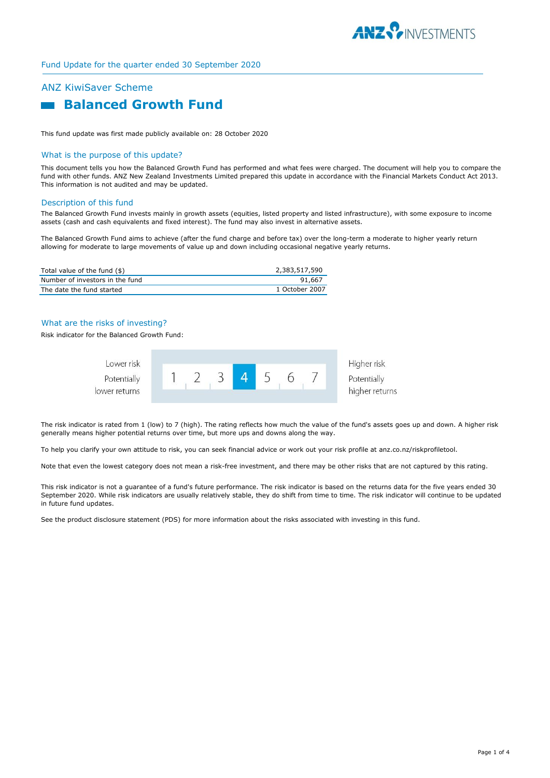

# ANZ KiwiSaver Scheme



This fund update was first made publicly available on: 28 October 2020

## What is the purpose of this update?

This document tells you how the Balanced Growth Fund has performed and what fees were charged. The document will help you to compare the fund with other funds. ANZ New Zealand Investments Limited prepared this update in accordance with the Financial Markets Conduct Act 2013. This information is not audited and may be updated.

### Description of this fund

The Balanced Growth Fund invests mainly in growth assets (equities, listed property and listed infrastructure), with some exposure to income assets (cash and cash equivalents and fixed interest). The fund may also invest in alternative assets.

The Balanced Growth Fund aims to achieve (after the fund charge and before tax) over the long-term a moderate to higher yearly return allowing for moderate to large movements of value up and down including occasional negative yearly returns.

| Total value of the fund (\$)    | 2,383,517,590  |
|---------------------------------|----------------|
| Number of investors in the fund | 91.667         |
| The date the fund started       | 1 October 2007 |

# What are the risks of investing?

Risk indicator for the Balanced Growth Fund:



The risk indicator is rated from 1 (low) to 7 (high). The rating reflects how much the value of the fund's assets goes up and down. A higher risk generally means higher potential returns over time, but more ups and downs along the way.

To help you clarify your own attitude to risk, you can seek financial advice or work out your risk profile at anz.co.nz/riskprofiletool.

Note that even the lowest category does not mean a risk-free investment, and there may be other risks that are not captured by this rating.

This risk indicator is not a guarantee of a fund's future performance. The risk indicator is based on the returns data for the five years ended 30 September 2020. While risk indicators are usually relatively stable, they do shift from time to time. The risk indicator will continue to be updated in future fund updates.

See the product disclosure statement (PDS) for more information about the risks associated with investing in this fund.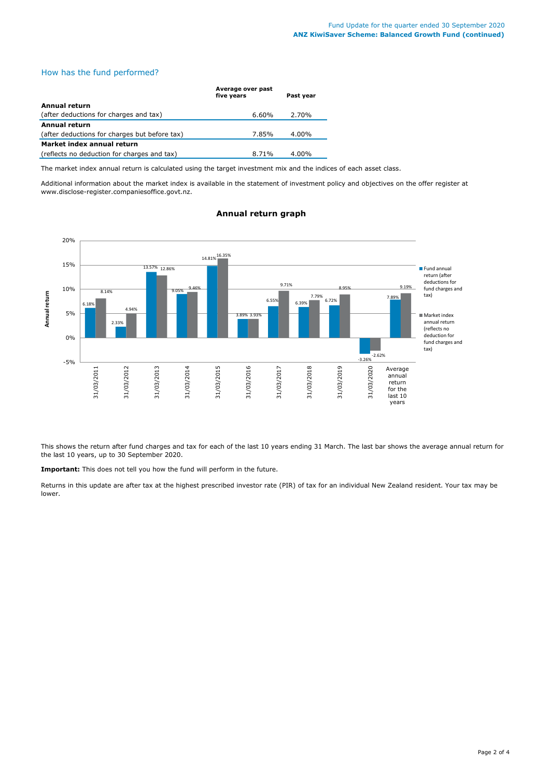# How has the fund performed?

|                                               | Average over past<br>five years | Past year |
|-----------------------------------------------|---------------------------------|-----------|
| Annual return                                 |                                 |           |
| (after deductions for charges and tax)        | 6.60%                           | 2.70%     |
| Annual return                                 |                                 |           |
| (after deductions for charges but before tax) | 7.85%                           | 4.00%     |
| Market index annual return                    |                                 |           |
| (reflects no deduction for charges and tax)   | 8.71%                           | $4.00\%$  |

The market index annual return is calculated using the target investment mix and the indices of each asset class.

Additional information about the market index is available in the statement of investment policy and objectives on the offer register at www.disclose-register.companiesoffice.govt.nz.



# **Annual return graph**

This shows the return after fund charges and tax for each of the last 10 years ending 31 March. The last bar shows the average annual return for the last 10 years, up to 30 September 2020.

**Important:** This does not tell you how the fund will perform in the future.

Returns in this update are after tax at the highest prescribed investor rate (PIR) of tax for an individual New Zealand resident. Your tax may be lower.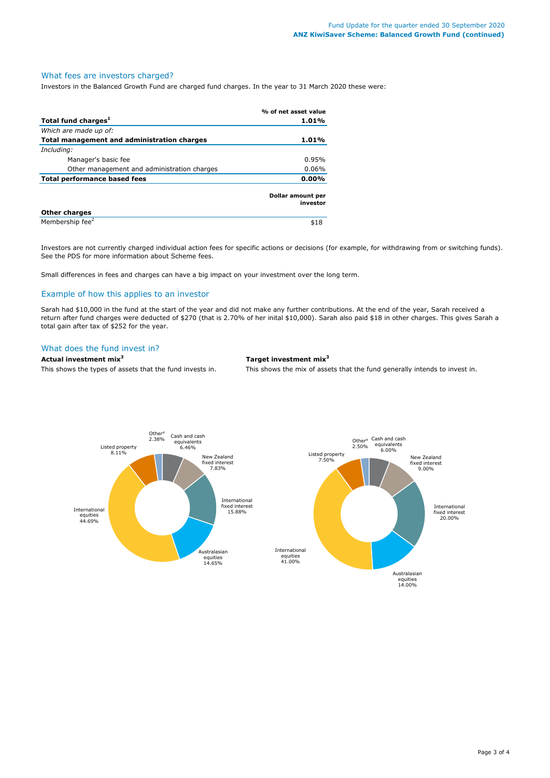## What fees are investors charged?

Investors in the Balanced Growth Fund are charged fund charges. In the year to 31 March 2020 these were:

|                                             | % of net asset value          |  |
|---------------------------------------------|-------------------------------|--|
| Total fund charges <sup>1</sup>             | 1.01%                         |  |
| Which are made up of:                       |                               |  |
| Total management and administration charges | 1.01%                         |  |
| Including:                                  |                               |  |
| Manager's basic fee                         | 0.95%                         |  |
| Other management and administration charges | $0.06\%$                      |  |
| <b>Total performance based fees</b>         | $0.00\%$                      |  |
|                                             | Dollar amount per<br>investor |  |
| <b>Other charges</b>                        |                               |  |
| Membership fee <sup>2</sup>                 | \$18                          |  |

Investors are not currently charged individual action fees for specific actions or decisions (for example, for withdrawing from or switching funds). See the PDS for more information about Scheme fees.

Small differences in fees and charges can have a big impact on your investment over the long term.

## Example of how this applies to an investor

Sarah had \$10,000 in the fund at the start of the year and did not make any further contributions. At the end of the year, Sarah received a return after fund charges were deducted of \$270 (that is 2.70% of her inital \$10,000). Sarah also paid \$18 in other charges. This gives Sarah a total gain after tax of \$252 for the year.

# What does the fund invest in?

# **Actual investment mix<sup>3</sup> Target investment mix<sup>3</sup>**

This shows the types of assets that the fund invests in. This shows the mix of assets that the fund generally intends to invest in.